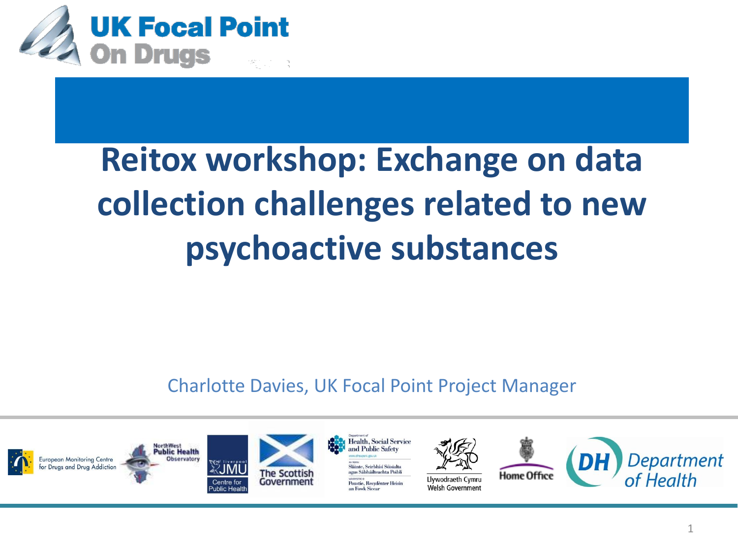

### **Reitox workshop: Exchange on data collection challenges related to new psychoactive substances**

Charlotte Davies, UK Focal Point Project Manager

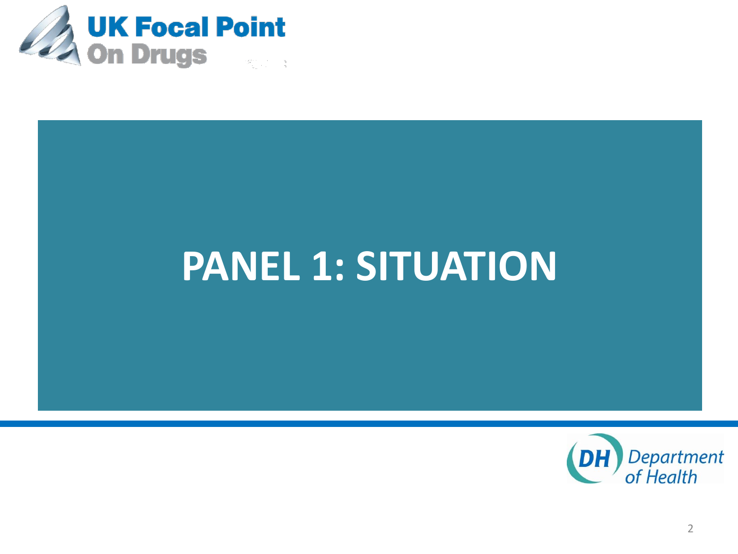

## **PANEL 1: SITUATION**

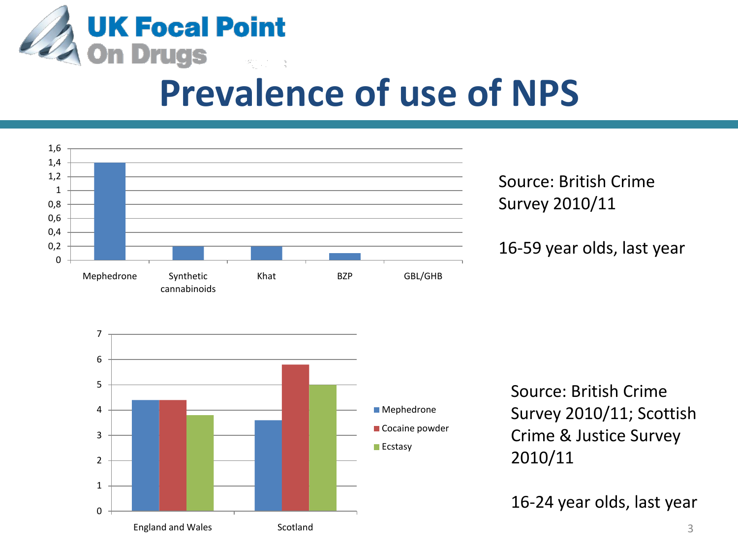

### **Prevalence of use of NPS**



Source: British Crime Survey 2010/11

16-59 year olds, last year



Source: British Crime Survey 2010/11; Scottish Crime & Justice Survey 2010/11

16-24 year olds, last year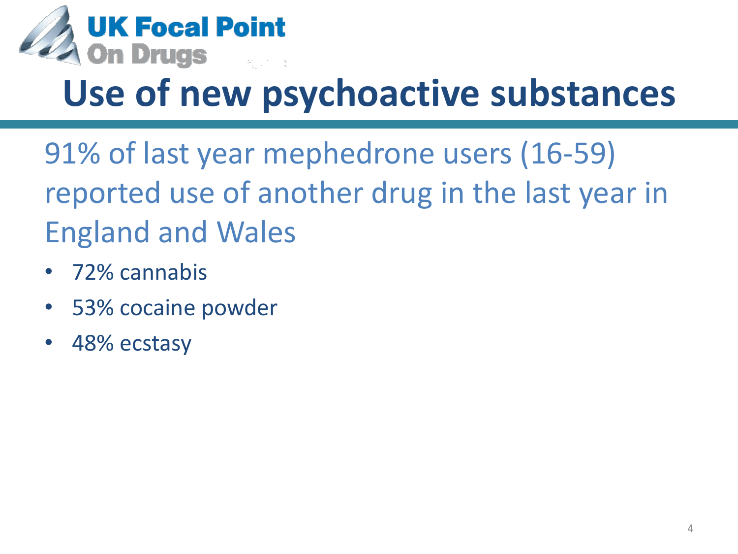

## **Use of new psychoactive substances**

91% of last year mephedrone users (16-59) reported use of another drug in the last year in England and Wales

- 72% cannabis
- 53% cocaine powder
- 48% ecstasy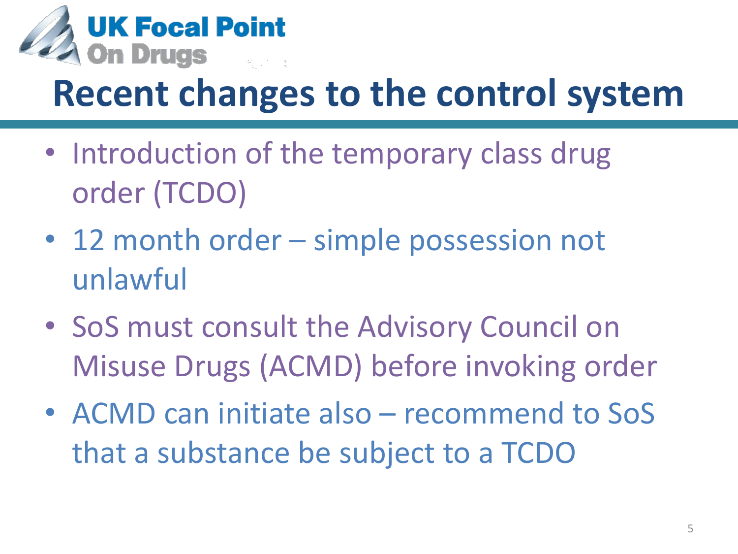

## **Recent changes to the control system**

- Introduction of the temporary class drug order (TCDO)
- 12 month order simple possession not unlawful
- SoS must consult the Advisory Council on Misuse Drugs (ACMD) before invoking order
- ACMD can initiate also recommend to SoS that a substance be subject to a TCDO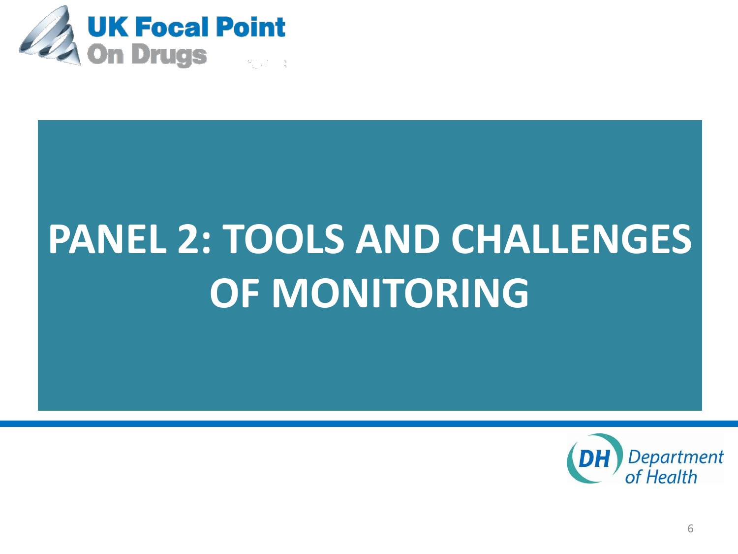

# **PANEL 2: TOOLS AND CHALLENGES OF MONITORING**

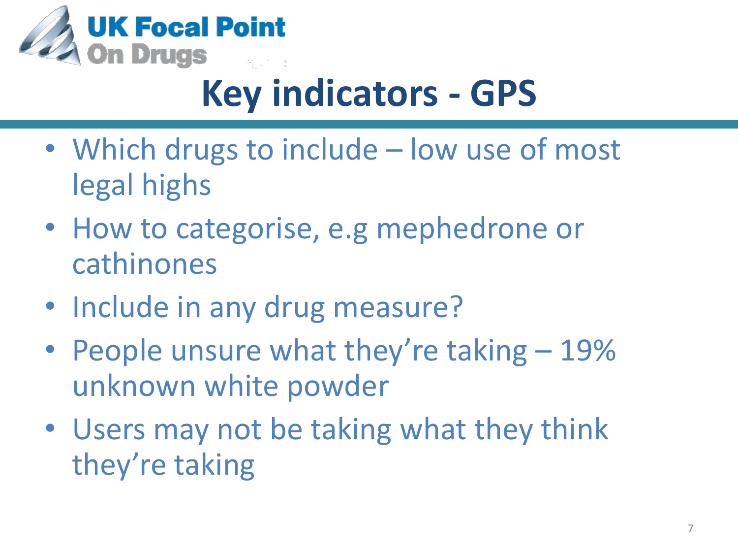

## **Key indicators - GPS**

- Which drugs to include low use of most legal highs
- How to categorise, e.g mephedrone or cathinones
- Include in any drug measure?
- People unsure what they're taking 19% unknown white powder
- Users may not be taking what they think they're taking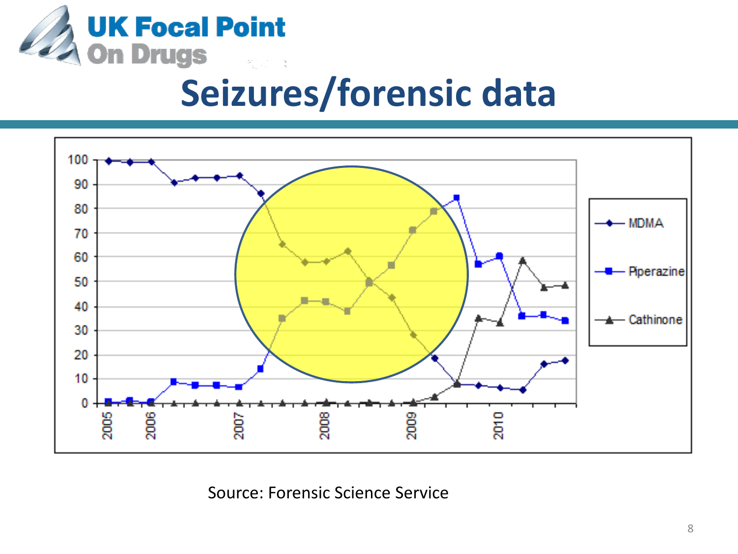

### **Seizures/forensic data**



Source: Forensic Science Service